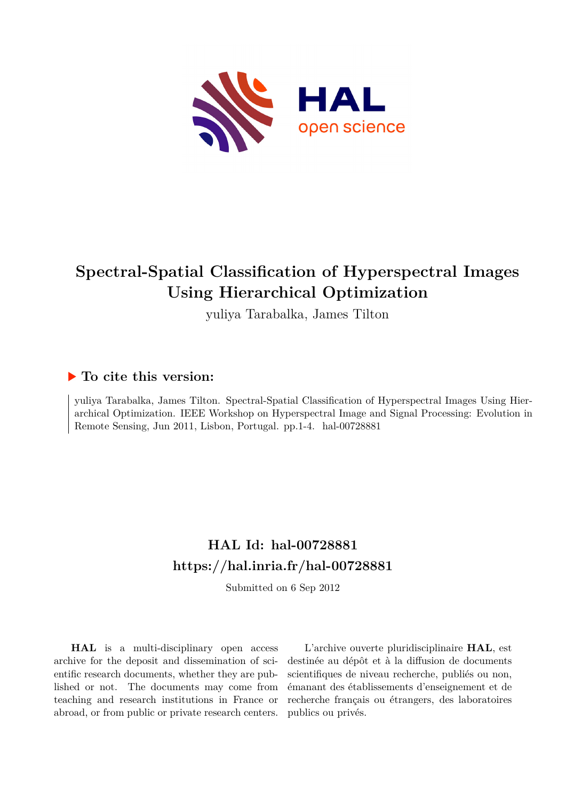

# **Spectral-Spatial Classification of Hyperspectral Images Using Hierarchical Optimization**

yuliya Tarabalka, James Tilton

### **To cite this version:**

yuliya Tarabalka, James Tilton. Spectral-Spatial Classification of Hyperspectral Images Using Hierarchical Optimization. IEEE Workshop on Hyperspectral Image and Signal Processing: Evolution in Remote Sensing, Jun 2011, Lisbon, Portugal. pp. 1-4. hal-00728881

## **HAL Id: hal-00728881 <https://hal.inria.fr/hal-00728881>**

Submitted on 6 Sep 2012

**HAL** is a multi-disciplinary open access archive for the deposit and dissemination of scientific research documents, whether they are published or not. The documents may come from teaching and research institutions in France or abroad, or from public or private research centers.

L'archive ouverte pluridisciplinaire **HAL**, est destinée au dépôt et à la diffusion de documents scientifiques de niveau recherche, publiés ou non, émanant des établissements d'enseignement et de recherche français ou étrangers, des laboratoires publics ou privés.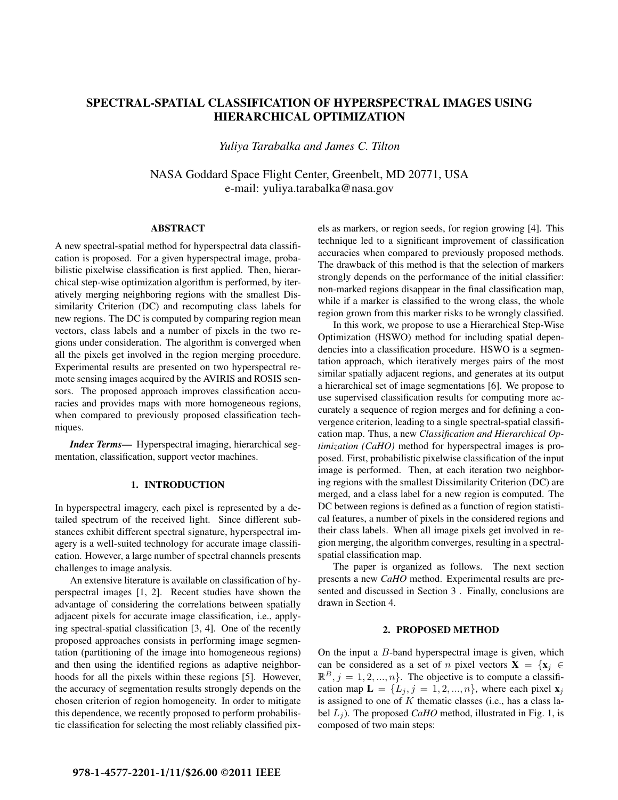### SPECTRAL-SPATIAL CLASSIFICATION OF HYPERSPECTRAL IMAGES USING HIERARCHICAL OPTIMIZATION

*Yuliya Tarabalka and James C. Tilton*

NASA Goddard Space Flight Center, Greenbelt, MD 20771, USA e-mail: yuliya.tarabalka@nasa.gov

#### ABSTRACT

A new spectral-spatial method for hyperspectral data classification is proposed. For a given hyperspectral image, probabilistic pixelwise classification is first applied. Then, hierarchical step-wise optimization algorithm is performed, by iteratively merging neighboring regions with the smallest Dissimilarity Criterion (DC) and recomputing class labels for new regions. The DC is computed by comparing region mean vectors, class labels and a number of pixels in the two regions under consideration. The algorithm is converged when all the pixels get involved in the region merging procedure. Experimental results are presented on two hyperspectral remote sensing images acquired by the AVIRIS and ROSIS sensors. The proposed approach improves classification accuracies and provides maps with more homogeneous regions, when compared to previously proposed classification techniques.

*Index Terms*— Hyperspectral imaging, hierarchical segmentation, classification, support vector machines.

#### 1. INTRODUCTION

In hyperspectral imagery, each pixel is represented by a detailed spectrum of the received light. Since different substances exhibit different spectral signature, hyperspectral imagery is a well-suited technology for accurate image classification. However, a large number of spectral channels presents challenges to image analysis.

An extensive literature is available on classification of hyperspectral images [1, 2]. Recent studies have shown the advantage of considering the correlations between spatially adjacent pixels for accurate image classification, i.e., applying spectral-spatial classification [3, 4]. One of the recently proposed approaches consists in performing image segmentation (partitioning of the image into homogeneous regions) and then using the identified regions as adaptive neighborhoods for all the pixels within these regions [5]. However, the accuracy of segmentation results strongly depends on the chosen criterion of region homogeneity. In order to mitigate this dependence, we recently proposed to perform probabilistic classification for selecting the most reliably classified pixels as markers, or region seeds, for region growing [4]. This technique led to a significant improvement of classification accuracies when compared to previously proposed methods. The drawback of this method is that the selection of markers strongly depends on the performance of the initial classifier: non-marked regions disappear in the final classification map, while if a marker is classified to the wrong class, the whole region grown from this marker risks to be wrongly classified.

In this work, we propose to use a Hierarchical Step-Wise Optimization (HSWO) method for including spatial dependencies into a classification procedure. HSWO is a segmentation approach, which iteratively merges pairs of the most similar spatially adjacent regions, and generates at its output a hierarchical set of image segmentations [6]. We propose to use supervised classification results for computing more accurately a sequence of region merges and for defining a convergence criterion, leading to a single spectral-spatial classification map. Thus, a new *Classification and Hierarchical Optimization (CaHO)* method for hyperspectral images is proposed. First, probabilistic pixelwise classification of the input image is performed. Then, at each iteration two neighboring regions with the smallest Dissimilarity Criterion (DC) are merged, and a class label for a new region is computed. The DC between regions is defined as a function of region statistical features, a number of pixels in the considered regions and their class labels. When all image pixels get involved in region merging, the algorithm converges, resulting in a spectralspatial classification map.

The paper is organized as follows. The next section presents a new *CaHO* method. Experimental results are presented and discussed in Section 3 . Finally, conclusions are drawn in Section 4.

#### 2. PROPOSED METHOD

On the input a  $B$ -band hyperspectral image is given, which can be considered as a set of n pixel vectors  $X = \{x_i \in$  $\mathbb{R}^B$ ,  $j = 1, 2, ..., n$ . The objective is to compute a classification map  $\mathbf{L} = \{L_j, j = 1, 2, ..., n\}$ , where each pixel  $\mathbf{x}_j$ is assigned to one of  $K$  thematic classes (i.e., has a class label  $L_j$ ). The proposed *CaHO* method, illustrated in Fig. 1, is composed of two main steps: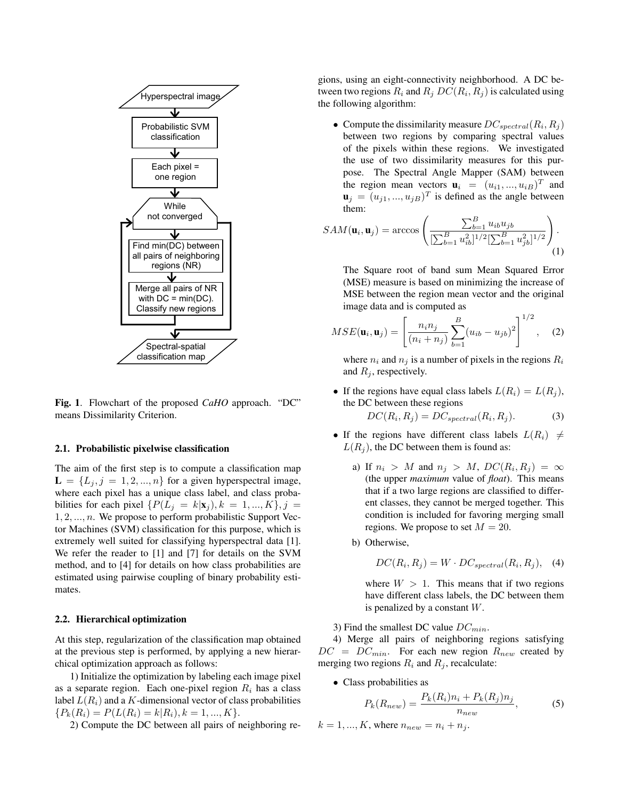

Fig. 1. Flowchart of the proposed *CaHO* approach. "DC" means Dissimilarity Criterion.

#### 2.1. Probabilistic pixelwise classification

The aim of the first step is to compute a classification map  $\mathbf{L} = \{L_j, j = 1, 2, ..., n\}$  for a given hyperspectral image, where each pixel has a unique class label, and class probabilities for each pixel  $\{P(L_j = k|\mathbf{x}_j), k = 1, ..., K\}, j =$  $1, 2, \ldots, n$ . We propose to perform probabilistic Support Vector Machines (SVM) classification for this purpose, which is extremely well suited for classifying hyperspectral data [1]. We refer the reader to [1] and [7] for details on the SVM method, and to [4] for details on how class probabilities are estimated using pairwise coupling of binary probability estimates.

#### 2.2. Hierarchical optimization

At this step, regularization of the classification map obtained at the previous step is performed, by applying a new hierarchical optimization approach as follows:

1) Initialize the optimization by labeling each image pixel as a separate region. Each one-pixel region  $R_i$  has a class label  $L(R_i)$  and a K-dimensional vector of class probabilities  ${P_k(R_i) = P(L(R_i) = k|R_i), k = 1, ..., K}.$ 

2) Compute the DC between all pairs of neighboring re-

gions, using an eight-connectivity neighborhood. A DC between two regions  $R_i$  and  $R_j$   $DC(R_i,R_j)$  is calculated using the following algorithm:

• Compute the dissimilarity measure  $DC_{spectral}(R_i, R_j)$ between two regions by comparing spectral values of the pixels within these regions. We investigated the use of two dissimilarity measures for this purpose. The Spectral Angle Mapper (SAM) between the region mean vectors  $\mathbf{u}_i = (u_{i1},...,u_{iB})^T$  and  $\mathbf{u}_j = (u_{j1},...,u_{jB})^T$  is defined as the angle between them:

$$
SAM(\mathbf{u}_i, \mathbf{u}_j) = \arccos\left(\frac{\sum_{b=1}^B u_{ib} u_{jb}}{[\sum_{b=1}^B u_{ib}^2]^{1/2}[\sum_{b=1}^B u_{jb}^2]^{1/2}}\right).
$$
\n(1)

The Square root of band sum Mean Squared Error (MSE) measure is based on minimizing the increase of MSE between the region mean vector and the original image data and is computed as

$$
MSE(\mathbf{u}_i, \mathbf{u}_j) = \left[ \frac{n_i n_j}{(n_i + n_j)} \sum_{b=1}^{B} (u_{ib} - u_{jb})^2 \right]^{1/2}, \quad (2)
$$

where  $n_i$  and  $n_j$  is a number of pixels in the regions  $R_i$ and  $R_j$ , respectively.

• If the regions have equal class labels  $L(R_i) = L(R_i)$ , the DC between these regions

$$
DC(R_i, R_j) = DC_{spectral}(R_i, R_j).
$$
 (3)

- If the regions have different class labels  $L(R_i) \neq$  $L(R_i)$ , the DC between them is found as:
	- a) If  $n_i > M$  and  $n_j > M$ ,  $DC(R_i, R_j) = \infty$ (the upper *maximum* value of *float*). This means that if a two large regions are classified to different classes, they cannot be merged together. This condition is included for favoring merging small regions. We propose to set  $M = 20$ .
	- b) Otherwise,

$$
DC(R_i, R_j) = W \cdot DC_{spectral}(R_i, R_j), \quad (4)
$$

where  $W > 1$ . This means that if two regions have different class labels, the DC between them is penalized by a constant W.

3) Find the smallest DC value  $DC_{min}$ .

4) Merge all pairs of neighboring regions satisfying  $DC = DC_{min}$ . For each new region  $R_{new}$  created by merging two regions  $R_i$  and  $R_j$ , recalculate:

• Class probabilities as

$$
P_k(R_{new}) = \frac{P_k(R_i)n_i + P_k(R_j)n_j}{n_{new}},
$$
\n<sup>(5)</sup>

 $k = 1, ..., K$ , where  $n_{new} = n_i + n_j$ .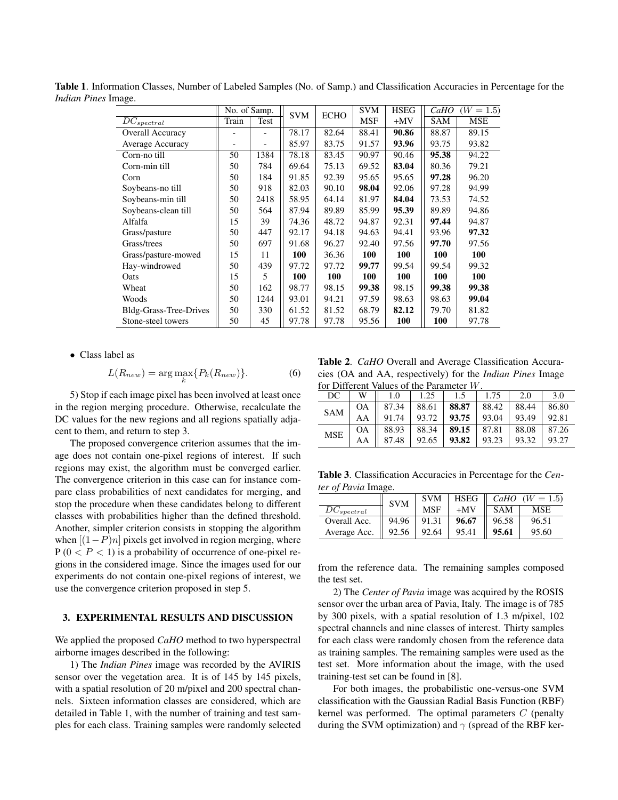| o                          |       |                            |       |             |            |             |            |             |
|----------------------------|-------|----------------------------|-------|-------------|------------|-------------|------------|-------------|
|                            |       | No. of Samp.<br><b>SVM</b> |       | <b>ECHO</b> | <b>SVM</b> | <b>HSEG</b> | CaHO       | $(W = 1.5)$ |
| $\overline{DC}_{spectral}$ | Train | Test                       |       |             | <b>MSF</b> | $+MV$       | <b>SAM</b> | <b>MSE</b>  |
| Overall Accuracy           |       |                            | 78.17 | 82.64       | 88.41      | 90.86       | 88.87      | 89.15       |
| Average Accuracy           |       |                            | 85.97 | 83.75       | 91.57      | 93.96       | 93.75      | 93.82       |
| Corn-no till               | 50    | 1384                       | 78.18 | 83.45       | 90.97      | 90.46       | 95.38      | 94.22       |
| Corn-min till              | 50    | 784                        | 69.64 | 75.13       | 69.52      | 83.04       | 80.36      | 79.21       |
| Corn                       | 50    | 184                        | 91.85 | 92.39       | 95.65      | 95.65       | 97.28      | 96.20       |
| Soybeans-no till           | 50    | 918                        | 82.03 | 90.10       | 98.04      | 92.06       | 97.28      | 94.99       |
| Soybeans-min till          | 50    | 2418                       | 58.95 | 64.14       | 81.97      | 84.04       | 73.53      | 74.52       |
| Soybeans-clean till        | 50    | 564                        | 87.94 | 89.89       | 85.99      | 95.39       | 89.89      | 94.86       |
| Alfalfa                    | 15    | 39                         | 74.36 | 48.72       | 94.87      | 92.31       | 97.44      | 94.87       |
| Grass/pasture              | 50    | 447                        | 92.17 | 94.18       | 94.63      | 94.41       | 93.96      | 97.32       |
| Grass/trees                | 50    | 697                        | 91.68 | 96.27       | 92.40      | 97.56       | 97.70      | 97.56       |
| Grass/pasture-mowed        | 15    | 11                         | 100   | 36.36       | 100        | <b>100</b>  | 100        | 100         |
| Hay-windrowed              | 50    | 439                        | 97.72 | 97.72       | 99.77      | 99.54       | 99.54      | 99.32       |
| Oats                       | 15    | 5                          | 100   | 100         | 100        | <b>100</b>  | 100        | 100         |
| Wheat                      | 50    | 162                        | 98.77 | 98.15       | 99.38      | 98.15       | 99.38      | 99.38       |
| Woods                      | 50    | 1244                       | 93.01 | 94.21       | 97.59      | 98.63       | 98.63      | 99.04       |
| Bldg-Grass-Tree-Drives     | 50    | 330                        | 61.52 | 81.52       | 68.79      | 82.12       | 79.70      | 81.82       |
| Stone-steel towers         | 50    | 45                         | 97.78 | 97.78       | 95.56      | 100         | 100        | 97.78       |

Table 1. Information Classes, Number of Labeled Samples (No. of Samp.) and Classification Accuracies in Percentage for the *Indian Pines* Image.

• Class label as

$$
L(R_{new}) = \arg\max_{k} \{ P_k(R_{new}) \}.
$$
 (6)

5) Stop if each image pixel has been involved at least once in the region merging procedure. Otherwise, recalculate the DC values for the new regions and all regions spatially adjacent to them, and return to step 3.

The proposed convergence criterion assumes that the image does not contain one-pixel regions of interest. If such regions may exist, the algorithm must be converged earlier. The convergence criterion in this case can for instance compare class probabilities of next candidates for merging, and stop the procedure when these candidates belong to different classes with probabilities higher than the defined threshold. Another, simpler criterion consists in stopping the algorithm when  $[(1-P)n]$  pixels get involved in region merging, where  $P(0 < P < 1)$  is a probability of occurrence of one-pixel regions in the considered image. Since the images used for our experiments do not contain one-pixel regions of interest, we use the convergence criterion proposed in step 5.

#### 3. EXPERIMENTAL RESULTS AND DISCUSSION

We applied the proposed *CaHO* method to two hyperspectral airborne images described in the following:

1) The *Indian Pines* image was recorded by the AVIRIS sensor over the vegetation area. It is of 145 by 145 pixels, with a spatial resolution of 20 m/pixel and 200 spectral channels. Sixteen information classes are considered, which are detailed in Table 1, with the number of training and test samples for each class. Training samples were randomly selected

Table 2. *CaHO* Overall and Average Classification Accuracies (OA and AA, respectively) for the *Indian Pines* Image for Different Values of the Parameter W.

| DC         | W                                                                                        | 1.0                                                      | $\vert$ 1.25 $\vert$ 1.5 $\vert$ 1.75 |  | 12.0  | 3.0   |
|------------|------------------------------------------------------------------------------------------|----------------------------------------------------------|---------------------------------------|--|-------|-------|
| <b>SAM</b> | <b>OA</b>                                                                                | $\parallel$ 87.34   88.61   <b>88.87</b>   88.42   88.44 |                                       |  |       | 86.80 |
|            | AA                                                                                       | $\parallel$ 91.74                                        | $\vert$ 93.72   <b>93.75</b>   93.04  |  | 93.49 | 92.81 |
| <b>MSE</b> | <b>OA</b>                                                                                |                                                          |                                       |  |       | 87.26 |
|            | $88.93$   88.34   <b>89.15</b>   87.81   88.08<br>93.82<br>87.48<br>92.65<br>93.23<br>AA | 93.32                                                    | 93.27                                 |  |       |       |

Table 3. Classification Accuracies in Percentage for the *Center of Pavia* Image.

|                 | <b>SVM</b> | <b>SVM</b> | HSEG II | CaHO $(W = 1.5)$ |       |  |
|-----------------|------------|------------|---------|------------------|-------|--|
| $DC_{spectral}$ |            | MSF        | $+MV$   | <b>SAM</b>       | MSE.  |  |
| Overall Acc.    | 94.96      | 91.31      | 96.67   | 96.58            | 96.51 |  |
| Average Acc.    | 92.56      | 92.64      | 95.41   | 95.61            | 95.60 |  |

from the reference data. The remaining samples composed the test set.

2) The *Center of Pavia* image was acquired by the ROSIS sensor over the urban area of Pavia, Italy. The image is of 785 by 300 pixels, with a spatial resolution of 1.3 m/pixel, 102 spectral channels and nine classes of interest. Thirty samples for each class were randomly chosen from the reference data as training samples. The remaining samples were used as the test set. More information about the image, with the used training-test set can be found in [8].

For both images, the probabilistic one-versus-one SVM classification with the Gaussian Radial Basis Function (RBF) kernel was performed. The optimal parameters  $C$  (penalty during the SVM optimization) and  $\gamma$  (spread of the RBF ker-